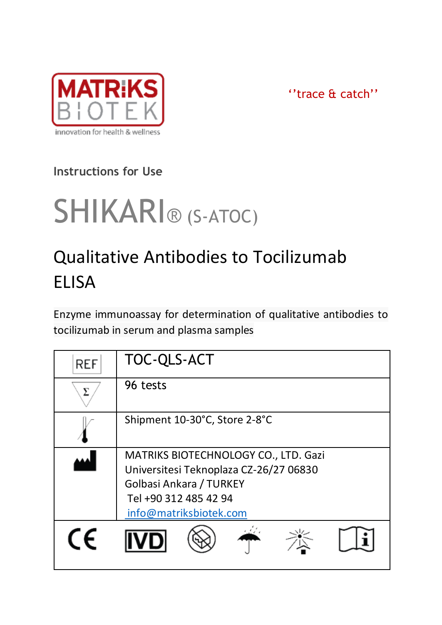

''trace & catch''

# **Instructions for Use**

# SHIKARI® (S-ATOC)

# Qualitative Antibodies to Tocilizumab ELISA

Enzyme immunoassay for determination of qualitative antibodies to tocilizumab in serum and plasma samples

| REF | TOC-QLS-ACT                                                                    |  |  |
|-----|--------------------------------------------------------------------------------|--|--|
|     | 96 tests                                                                       |  |  |
|     | Shipment 10-30°C, Store 2-8°C                                                  |  |  |
|     | MATRIKS BIOTECHNOLOGY CO., LTD. Gazi<br>Universitesi Teknoplaza CZ-26/27 06830 |  |  |
|     | Golbasi Ankara / TURKEY<br>Tel +90 312 485 42 94<br>info@matriksbiotek.com     |  |  |
|     |                                                                                |  |  |
| CE  |                                                                                |  |  |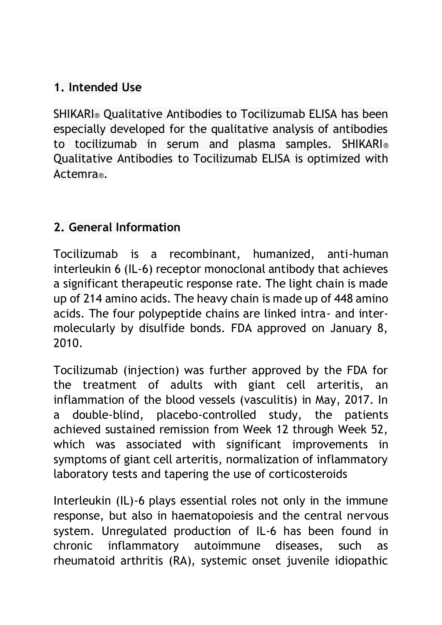### **1. Intended Use**

SHIKARI® Qualitative Antibodies to Tocilizumab ELISA has been especially developed for the qualitative analysis of antibodies to tocilizumab in serum and plasma samples. SHIKARI® Qualitative Antibodies to Tocilizumab ELISA is optimized with Actemra®.

#### **2. General Information**

Tocilizumab is a recombinant, humanized, anti-human interleukin 6 (IL-6) receptor monoclonal antibody that achieves a significant therapeutic response rate. The light chain is made up of 214 amino acids. The heavy chain is made up of 448 amino acids. The four polypeptide chains are linked intra- and intermolecularly by disulfide bonds. FDA approved on January 8, 2010.

Tocilizumab (injection) was further approved by the FDA for the treatment of adults with giant cell arteritis, an inflammation of the blood vessels (vasculitis) in May, 2017. In a double-blind, placebo-controlled study, the patients achieved sustained remission from Week 12 through Week 52, which was associated with significant improvements in symptoms of giant cell arteritis, normalization of inflammatory laboratory tests and tapering the use of corticosteroids

Interleukin (IL)-6 plays essential roles not only in the immune response, but also in haematopoiesis and the central nervous system. Unregulated production of IL-6 has been found in chronic inflammatory autoimmune diseases, such as rheumatoid arthritis (RA), systemic onset juvenile idiopathic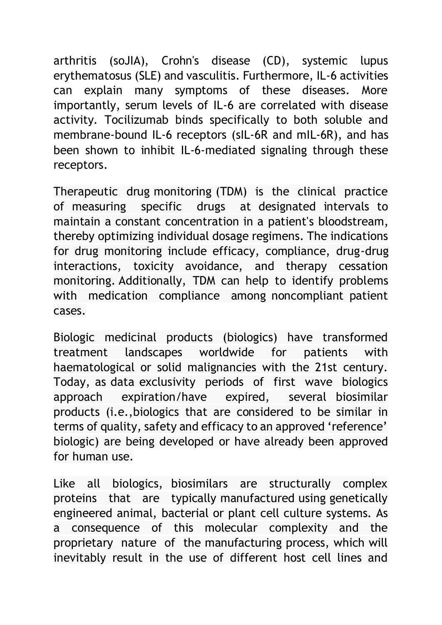arthritis (soJIA), Crohn's disease (CD), systemic lupus erythematosus (SLE) and vasculitis. Furthermore, IL-6 activities can explain many symptoms of these diseases. More importantly, serum levels of IL-6 are correlated with disease activity. Tocilizumab binds specifically to both soluble and membrane-bound IL-6 receptors (sIL-6R and mIL-6R), and has been shown to inhibit IL-6-mediated signaling through these receptors.

Therapeutic drug monitoring (TDM) is the clinical practice of measuring specific drugs at designated intervals to maintain a constant concentration in a patient's bloodstream, thereby optimizing individual dosage regimens. The indications for drug monitoring include efficacy, compliance, drug-drug interactions, toxicity avoidance, and therapy cessation monitoring. Additionally, TDM can help to identify problems with medication compliance among noncompliant patient cases.

Biologic medicinal products (biologics) have transformed treatment landscapes worldwide for patients with haematological or solid malignancies with the 21st century. Today, as data exclusivity periods of first wave biologics approach expiration/have expired, several biosimilar products (i.e.,biologics that are considered to be similar in terms of quality, safety and efficacy to an approved 'reference' biologic) are being developed or have already been approved for human use.

Like all biologics, biosimilars are structurally complex proteins that are typically manufactured using genetically engineered animal, bacterial or plant cell culture systems. As a consequence of this molecular complexity and the proprietary nature of the manufacturing process, which will inevitably result in the use of different host cell lines and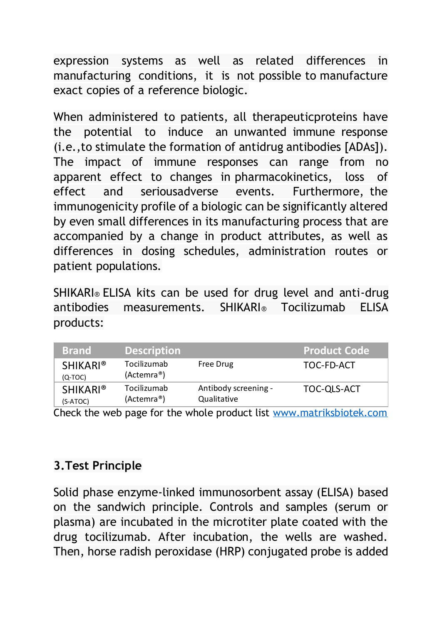expression systems as well as related differences in manufacturing conditions, it is not possible to manufacture exact copies of a reference biologic.

When administered to patients, all therapeuticproteins have the potential to induce an unwanted immune response (i.e.,to stimulate the formation of antidrug antibodies [ADAs]). The impact of immune responses can range from no apparent effect to changes in pharmacokinetics, loss of effect and seriousadverse events. Furthermore, the immunogenicity profile of a biologic can be significantly altered by even small differences in its manufacturing process that are accompanied by a change in product attributes, as well as differences in dosing schedules, administration routes or patient populations.

SHIKARI® ELISA kits can be used for drug level and anti-drug antibodies measurements. SHIKARI® Tocilizumab ELISA products:

| <b>Brand</b>                 | <b>Description</b>                     |                                     | <b>Product Code</b> |
|------------------------------|----------------------------------------|-------------------------------------|---------------------|
| <b>SHIKARI®</b><br>$(Q-TOC)$ | Tocilizumab<br>(Actemra <sup>®</sup> ) | Free Drug                           | TOC-FD-ACT          |
| <b>SHIKARI®</b><br>(S-ATOC)  | Tocilizumab<br>(Actemra <sup>®</sup> ) | Antibody screening -<br>Qualitative | TOC-QLS-ACT         |

Check the web page for the whole product list [www.matriksbiotek.com](file:///C:/Users/Matrix/Documents/www.matriksbiotek.com)

# **3.Test Principle**

Solid phase enzyme-linked immunosorbent assay (ELISA) based on the sandwich principle. Controls and samples (serum or plasma) are incubated in the microtiter plate coated with the drug tocilizumab. After incubation, the wells are washed. Then, horse radish peroxidase (HRP) conjugated probe is added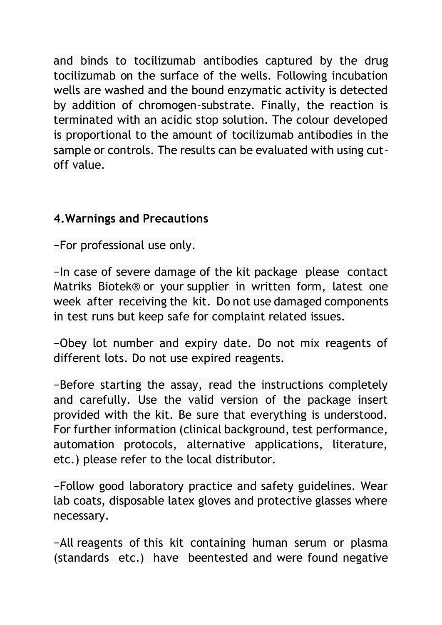and binds to tocilizumab antibodies captured by the drug tocilizumab on the surface of the wells. Following incubation wells are washed and the bound enzymatic activity is detected by addition of chromogen-substrate. Finally, the reaction is terminated with an acidic stop solution. The colour developed is proportional to the amount of tocilizumab antibodies in the sample or controls. The results can be evaluated with using cutoff value.

#### **4.Warnings and Precautions**

−For professional use only.

−In case of severe damage of the kit package please contact Matriks Biotek® or your supplier in written form, latest one week after receiving the kit. Do not use damaged components in test runs but keep safe for complaint related issues.

−Obey lot number and expiry date. Do not mix reagents of different lots. Do not use expired reagents.

−Before starting the assay, read the instructions completely and carefully. Use the valid version of the package insert provided with the kit. Be sure that everything is understood. For further information (clinical background, test performance, automation protocols, alternative applications, literature, etc.) please refer to the local distributor.

−Follow good laboratory practice and safety guidelines. Wear lab coats, disposable latex gloves and protective glasses where necessary.

−All reagents of this kit containing human serum or plasma (standards etc.) have beentested and were found negative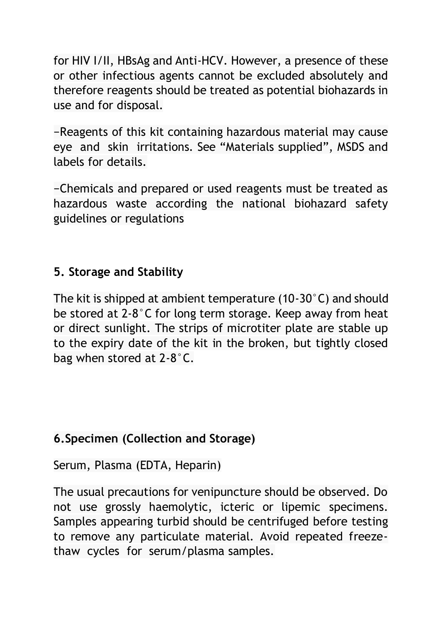for HIV I/II, HBsAg and Anti-HCV. However, a presence of these or other infectious agents cannot be excluded absolutely and therefore reagents should be treated as potential biohazards in use and for disposal.

−Reagents of this kit containing hazardous material may cause eye and skin irritations. See "Materials supplied", MSDS and labels for details.

−Chemicals and prepared or used reagents must be treated as hazardous waste according the national biohazard safety guidelines or regulations

#### **5. Storage and Stability**

The kit is shipped at ambient temperature (10-30°C) and should be stored at 2-8°C for long term storage. Keep away from heat or direct sunlight. The strips of microtiter plate are stable up to the expiry date of the kit in the broken, but tightly closed bag when stored at 2-8°C.

#### **6.Specimen (Collection and Storage)**

Serum, Plasma (EDTA, Heparin)

The usual precautions for venipuncture should be observed. Do not use grossly haemolytic, icteric or lipemic specimens. Samples appearing turbid should be centrifuged before testing to remove any particulate material. Avoid repeated freezethaw cycles for serum/plasma samples.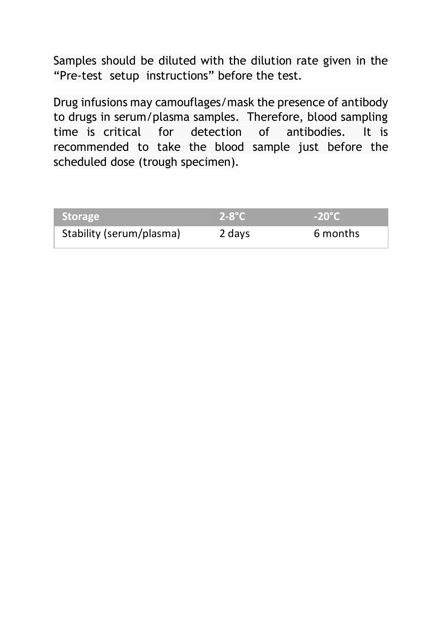Samples should be diluted with the dilution rate given in the "Pre-test setup instructions" before the test.

Drug infusions may camouflages/mask the presence of antibody to drugs in serum/plasma samples. Therefore, blood sampling time is critical for detection of antibodies. It is recommended to take the blood sample just before the scheduled dose (trough specimen).

| <b>Storage</b>           | $2-8$ °C | $-20^{\circ}$ C |
|--------------------------|----------|-----------------|
| Stability (serum/plasma) | 2 days   | 6 months        |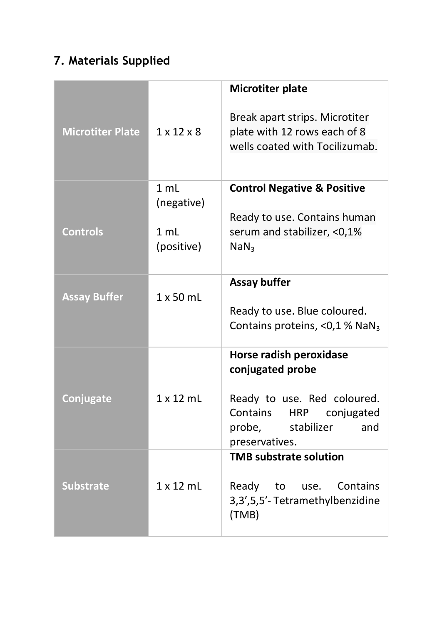# **7. Materials Supplied**

|                         |                        | Microtiter plate                                                                                 |
|-------------------------|------------------------|--------------------------------------------------------------------------------------------------|
| <b>Microtiter Plate</b> | $1 \times 12 \times 8$ | Break apart strips. Microtiter<br>plate with 12 rows each of 8<br>wells coated with Tocilizumab. |
|                         | 1 mL                   | <b>Control Negative &amp; Positive</b>                                                           |
|                         | (negative)             | Ready to use. Contains human                                                                     |
| <b>Controls</b>         | 1 ml<br>(positive)     | serum and stabilizer, <0,1%<br>NaN <sub>3</sub>                                                  |
|                         |                        | Assay buffer                                                                                     |
| <b>Assay Buffer</b>     | $1 \times 50$ ml       |                                                                                                  |
|                         |                        | Ready to use. Blue coloured.<br>Contains proteins, <0,1 % NaN <sub>3</sub>                       |
|                         |                        | Horse radish peroxidase<br>conjugated probe                                                      |
| Conjugate               | $1 \times 12$ ml       | Ready to use. Red coloured.                                                                      |
|                         |                        | Contains HRP<br>coniugated<br>and                                                                |
|                         |                        | probe,<br>stabilizer<br>preservatives.                                                           |
|                         |                        | <b>TMB substrate solution</b>                                                                    |
| <b>Substrate</b>        | $1 \times 12$ ml       | Ready to use. Contains<br>3,3',5,5'-Tetramethylbenzidine<br>(TMB)                                |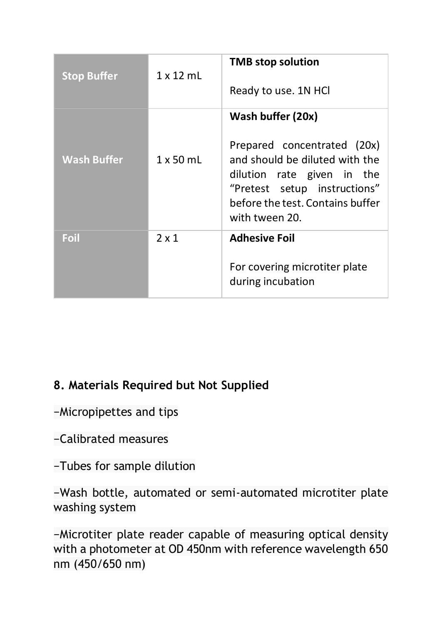| <b>Stop Buffer</b> | $1 \times 12$ mL | <b>TMB</b> stop solution<br>Ready to use. 1N HCl                                                                                                                                                       |
|--------------------|------------------|--------------------------------------------------------------------------------------------------------------------------------------------------------------------------------------------------------|
| <b>Wash Buffer</b> | $1 \times 50$ mL | Wash buffer (20x)<br>Prepared concentrated (20x)<br>and should be diluted with the<br>dilution rate given in the<br>"Pretest setup instructions"<br>before the test. Contains buffer<br>with tween 20. |
| Foil               | 2x1              | <b>Adhesive Foil</b><br>For covering microtiter plate<br>during incubation                                                                                                                             |

#### **8. Materials Required but Not Supplied**

−Micropipettes and tips

−Calibrated measures

−Tubes for sample dilution

−Wash bottle, automated or semi-automated microtiter plate washing system

−Microtiter plate reader capable of measuring optical density with a photometer at OD 450nm with reference wavelength 650 nm (450/650 nm)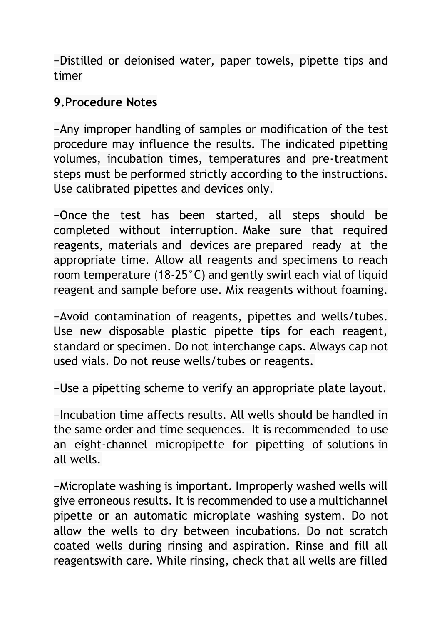−Distilled or deionised water, paper towels, pipette tips and timer

#### **9.Procedure Notes**

−Any improper handling of samples or modification of the test procedure may influence the results. The indicated pipetting volumes, incubation times, temperatures and pre-treatment steps must be performed strictly according to the instructions. Use calibrated pipettes and devices only.

−Once the test has been started, all steps should be completed without interruption. Make sure that required reagents, materials and devices are prepared ready at the appropriate time. Allow all reagents and specimens to reach room temperature (18-25°C) and gently swirl each vial of liquid reagent and sample before use. Mix reagents without foaming.

−Avoid contamination of reagents, pipettes and wells/tubes. Use new disposable plastic pipette tips for each reagent, standard or specimen. Do not interchange caps. Always cap not used vials. Do not reuse wells/tubes or reagents.

−Use a pipetting scheme to verify an appropriate plate layout.

−Incubation time affects results. All wells should be handled in the same order and time sequences. It is recommended to use an eight-channel micropipette for pipetting of solutions in all wells.

−Microplate washing is important. Improperly washed wells will give erroneous results. It is recommended to use a multichannel pipette or an automatic microplate washing system. Do not allow the wells to dry between incubations. Do not scratch coated wells during rinsing and aspiration. Rinse and fill all reagentswith care. While rinsing, check that all wells are filled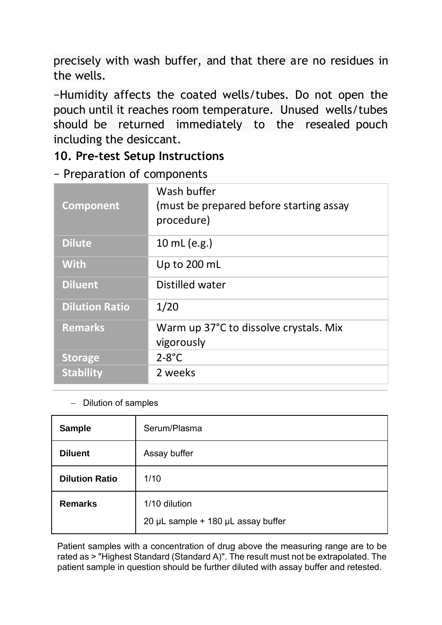precisely with wash buffer, and that there are no residues in the wells.

−Humidity affects the coated wells/tubes. Do not open the pouch until it reaches room temperature. Unused wells/tubes should be returned immediately to the resealed pouch including the desiccant.

#### **10. Pre-test Setup Instructions**

− Preparation of components

| Component             | Wash buffer<br>(must be prepared before starting assay<br>procedure) |
|-----------------------|----------------------------------------------------------------------|
| <b>Dilute</b>         | 10 mL (e.g.)                                                         |
| <b>With</b>           | Up to 200 mL                                                         |
| <b>Diluent</b>        | Distilled water                                                      |
| <b>Dilution Ratio</b> | 1/20                                                                 |
| <b>Remarks</b>        | Warm up 37°C to dissolve crystals. Mix<br>vigorously                 |
| <b>Storage</b>        | $2-8$ °C                                                             |
| <b>Stability</b>      | 2 weeks                                                              |

#### − Dilution of samples

| Sample                | Serum/Plasma                                        |
|-----------------------|-----------------------------------------------------|
| <b>Diluent</b>        | Assay buffer                                        |
| <b>Dilution Ratio</b> | 1/10                                                |
| Remarks               | 1/10 dilution<br>20 µL sample + 180 µL assay buffer |

Patient samples with a concentration of drug above the measuring range are to be rated as > "Highest Standard (Standard A)". The result must not be extrapolated. The patient sample in question should be further diluted with assay buffer and retested.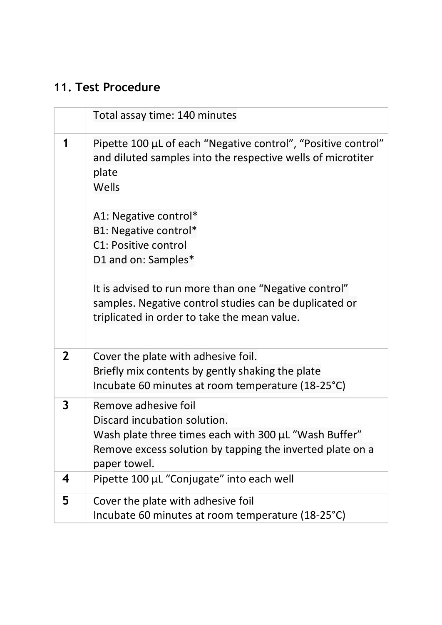# **11. Test Procedure**

|              | Total assay time: 140 minutes                                                                                                                                                              |
|--------------|--------------------------------------------------------------------------------------------------------------------------------------------------------------------------------------------|
| 1            | Pipette 100 µL of each "Negative control", "Positive control"<br>and diluted samples into the respective wells of microtiter<br>plate<br>Wells                                             |
|              | A1: Negative control*<br>B1: Negative control*<br>C1: Positive control<br>D1 and on: Samples*                                                                                              |
|              | It is advised to run more than one "Negative control"<br>samples. Negative control studies can be duplicated or<br>triplicated in order to take the mean value.                            |
| $\mathbf{2}$ | Cover the plate with adhesive foil.<br>Briefly mix contents by gently shaking the plate<br>Incubate 60 minutes at room temperature (18-25°C)                                               |
| 3            | Remove adhesive foil<br>Discard incubation solution.<br>Wash plate three times each with 300 µL "Wash Buffer"<br>Remove excess solution by tapping the inverted plate on a<br>paper towel. |
| 4            | Pipette 100 µL "Conjugate" into each well                                                                                                                                                  |
| 5            | Cover the plate with adhesive foil<br>Incubate 60 minutes at room temperature (18-25°C)                                                                                                    |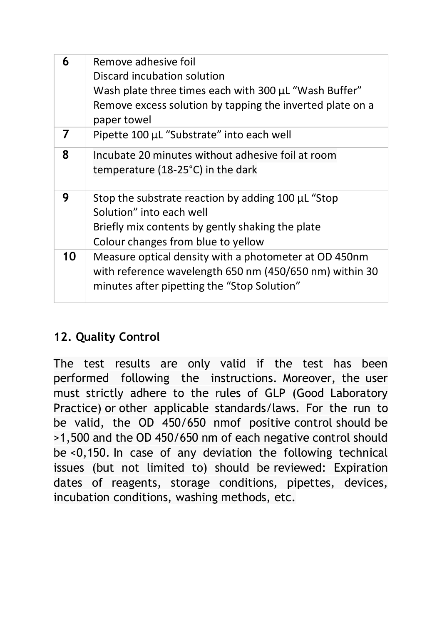| 6  | Remove adhesive foil<br>Discard incubation solution<br>Wash plate three times each with 300 µL "Wash Buffer"<br>Remove excess solution by tapping the inverted plate on a<br>paper towel |
|----|------------------------------------------------------------------------------------------------------------------------------------------------------------------------------------------|
| 7  | Pipette 100 µL "Substrate" into each well                                                                                                                                                |
| 8  | Incubate 20 minutes without adhesive foil at room<br>temperature (18-25°C) in the dark                                                                                                   |
| 9  | Stop the substrate reaction by adding 100 µL "Stop<br>Solution" into each well<br>Briefly mix contents by gently shaking the plate<br>Colour changes from blue to yellow                 |
| 10 | Measure optical density with a photometer at OD 450nm<br>with reference wavelength 650 nm (450/650 nm) within 30<br>minutes after pipetting the "Stop Solution"                          |

# **12. Quality Control**

The test results are only valid if the test has been performed following the instructions. Moreover, the user must strictly adhere to the rules of GLP (Good Laboratory Practice) or other applicable standards/laws. For the run to be valid, the OD 450/650 nmof positive control should be >1,500 and the OD 450/650 nm of each negative control should be <0,150. In case of any deviation the following technical issues (but not limited to) should be reviewed: Expiration dates of reagents, storage conditions, pipettes, devices, incubation conditions, washing methods, etc.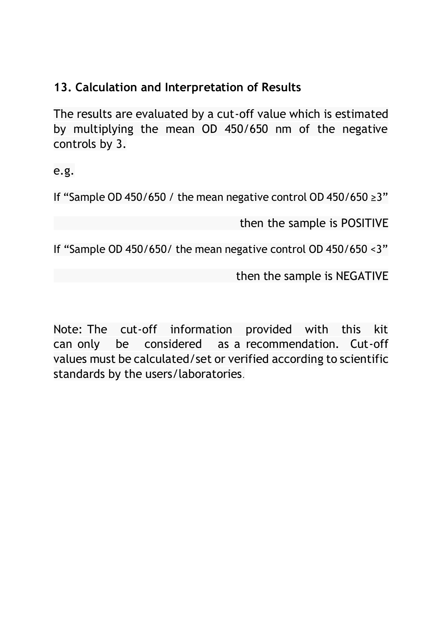# **13. Calculation and Interpretation of Results**

The results are evaluated by a cut-off value which is estimated by multiplying the mean OD 450/650 nm of the negative controls by 3.

e.g.

If "Sample OD 450/650 / the mean negative control OD 450/650 ≥3"

then the sample is POSITIVE

If "Sample OD 450/650/ the mean negative control OD 450/650 <3"

then the sample is NEGATIVE

Note: The cut-off information provided with this kit can only be considered as a recommendation. Cut-off values must be calculated/set or verified according to scientific standards by the users/laboratories.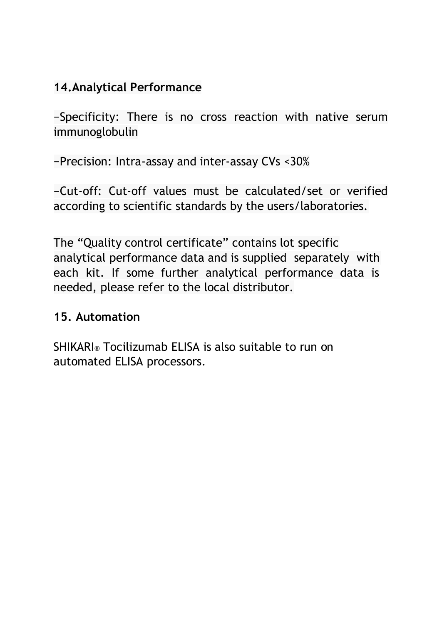#### **14.Analytical Performance**

−Specificity: There is no cross reaction with native serum immunoglobulin

−Precision: Intra-assay and inter-assay CVs <30%

−Cut-off: Cut-off values must be calculated/set or verified according to scientific standards by the users/laboratories.

The "Quality control certificate" contains lot specific analytical performance data and is supplied separately with each kit. If some further analytical performance data is needed, please refer to the local distributor.

#### **15. Automation**

SHIKARI® Tocilizumab ELISA is also suitable to run on automated ELISA processors.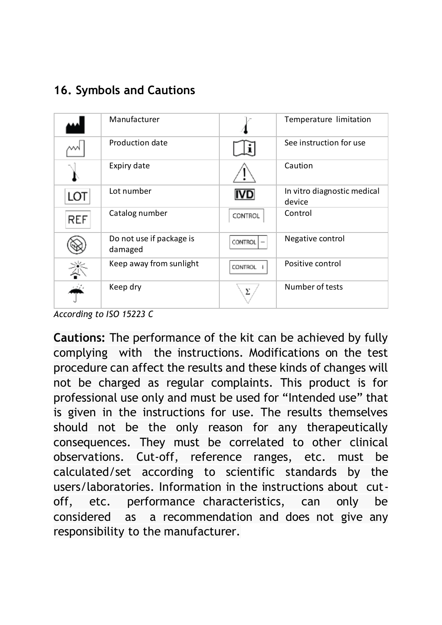#### **16. Symbols and Cautions**

|            | Manufacturer                        |                | Temperature limitation                |
|------------|-------------------------------------|----------------|---------------------------------------|
|            | Production date                     |                | See instruction for use               |
|            | Expiry date                         |                | Caution                               |
| LOT        | Lot number                          | IVD            | In vitro diagnostic medical<br>device |
| <b>REF</b> | Catalog number                      | CONTROL        | Control                               |
|            | Do not use if package is<br>damaged | <b>CONTROL</b> | Negative control                      |
| ∛          | Keep away from sunlight             | <b>CONTROL</b> | Positive control                      |
|            | Keep dry                            | Σ              | Number of tests                       |

*According to ISO 15223 C*

**Cautions:** The performance of the kit can be achieved by fully complying with the instructions. Modifications on the test procedure can affect the results and these kinds of changes will not be charged as regular complaints. This product is for professional use only and must be used for "Intended use" that is given in the instructions for use. The results themselves should not be the only reason for any therapeutically consequences. They must be correlated to other clinical observations. Cut-off, reference ranges, etc. must be calculated/set according to scientific standards by the users/laboratories. Information in the instructions about cutoff, etc. performance characteristics, can only be considered as a recommendation and does not give any responsibility to the manufacturer.